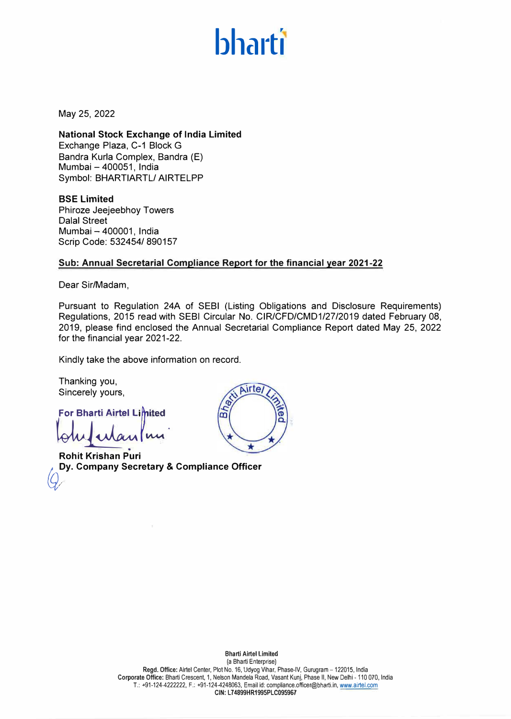## **bharti**

May 25, 2022

**National Stock Exchange of India Limited**  Exchange Plaza, C-1 Block G Sandra Kurla Complex, Sandra **(E)**  Mumbai - 400051, India Symbol: BHARTIARTL/ AIRTELPP

**BSE Limited**  Phiroze Jeejeebhoy Towers Dalal Street Mumbai - 400001, India Scrip Code: 532454/ 890157

## **Sub: Annual Secretarial Compliance Report for the financial year 2021-22**

Dear Sir/Madam,

Pursuant to Regulation 24A of SEBI (Listing Obligations and Disclosure Requirements) Regulations, 2015 read with SEBI Circular No. CIR/CFD/CMD1/27/2019 dated February 08, 2019, please find enclosed the Annual Secretarial Compliance Report dated May 25, 2022 for the financial year 2021-22.

Kindly take the above information on record.

Thanking you, Sincerely yours,

**For Bharti Airtel Limited r:.** 

**Rohit Krishan Puri Dy. Company Secretary & Compliance Officer** *cQ/* 

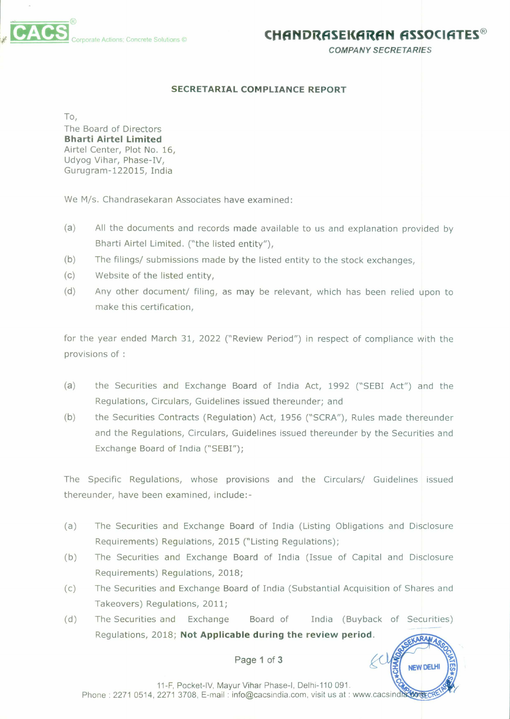**COMPANY SECRETARIES** 

## **SECRETARIAL COMPLIANCE REPORT**

To,

The Board of Directors **Bharti Airtel Limited**  Airtel Center, Plot No. 16, Udyog Vihar, Phase-IV, Gurugram-122015, India

We M/s. Chandrasekaran Associates have examined:

- (a) All the documents and records made available to us and explanation provided by Bharti Airtel Limited. ("the listed entity"),
- (b) The filings/ submissions made by the listed entity to the stock exchanges,
- (c) Website of the listed entity,
- (d) Any other document/ filing, as may be relevant, which has been relied upon to make this certification,

for the year ended March 31, 2022 ("Review Period") in respect of compliance with the provisions of :

- (a) the Securities and Exchange Board of India Act, 1992 ("SEBI Act") and the Regulations, Circulars, Guidelines issued thereunder; and
- (b) the Securities Contracts (Regulation) Act, 1956 ("SCRA"), Rules made thereunder and the Regulations, Circulars, Guidelines issued thereunder by the Securities and Exchange Board of India ("SEBI");

The Specific Regulations, whose provisions and the Circulars/ Guidelines issued thereunder, have been examined, include:-

- (a) The Securities and Exchange Board of India (Listing Obligations and Disclosure Requirements) Regulations, 2015 ("Listing Regulations);
- (b) The Securities and Exchange Board of India (Issue of Capital and Disclosure Requirements) Regulations, 2018;
- (c) The Securities and Exchange Board of India (Substantial Acquisition of Shares and Takeovers) Regulations, 2011;
- (d) The Securities and Exchange Board of India (Buyback of Securities) Regulations, 2018; **Not Applicable during the review period.**  ARANA

Page 1 of 3

**NEW DELHI**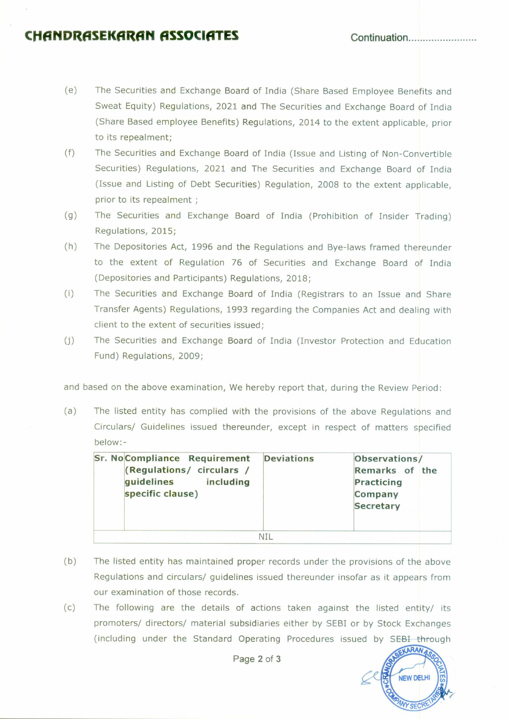- (e) The Securities and Exchange Board of India (Share Based Employee Benefits and Sweat Equity) Regulations, 2021 and The Securities and Exchange Board of India (Share Based employee Benefits) Regulations, 2014 to the extent applicable, prior to its repealment;
- (f) The Securities and Exchange Board of India (Issue and Listing of Non-Convertible Securities) Regulations, 2021 and The Securities and Exchange Board of India (Issue and Listing of Debt Securities) Regulation, 2008 to the extent applicable, prior to its repealment ;
- (g) The Securities and Exchange Board of India (Prohibition of Insider Trading) Regulations, 2015;
- (h) The Depositories Act, 1996 and the Regulations and Bye-laws framed thereunder to the extent of Regulation 76 of Securities and Exchange Board of India (Depositories and Participants) Regulations, 2018;
- (i) The Securities and Exchange Board of India (Registrars to an Issue and Share Transfer Agents) Regulations, 1993 regarding the Companies Act and dealing with client to the extent of securities issued;
- (j) The Securities and Exchange Board of India (Investor Protection and Education Fund) Regulations, 2009;

and based on the above examination, We hereby report that, during the Review Period:

(a) The listed entity has complied with the provisions of the above Regulations and Circulars/ Guidelines issued thereunder, except in respect of matters specified below:-

| guidelines<br>specific clause) | <b>Sr. NoCompliance Requirement</b><br>(Regulations/ circulars /<br>including | <b>Deviations</b> | Observations/<br>Remarks of the<br>Practicing<br>Company<br><b>Secretary</b> |  |
|--------------------------------|-------------------------------------------------------------------------------|-------------------|------------------------------------------------------------------------------|--|
|                                |                                                                               | Nti               |                                                                              |  |

- (b) The listed entity has maintained proper records under the provisions of the above Regulations and circulars/ guidelines issued thereunder insofar as it appears from our examination of those records.
- (c) The following are the details of actions taken against the listed entity/ its promoters/ directors/ material subsidiaries either by SEBI or by Stock Exchanges (including under the Standard Operating Procedures issued by SERI--trough